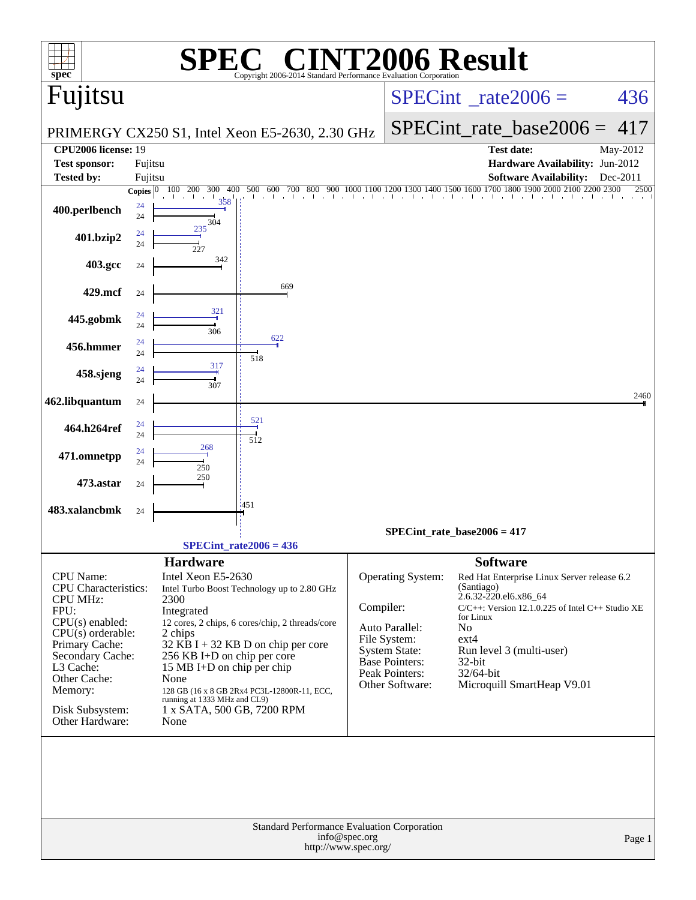| spec <sup>®</sup>                                                                                                                                                                                                                                                                                                                                                                                                                                                                                                                                                                                                                                      |                    |                          | C® CINT2006 Result<br>Copyright 2006-2014 Standard Performance Evaluation Corp |           |                                                                                                                             |                                                                                                                                                                                                                                                                                            |                   |
|--------------------------------------------------------------------------------------------------------------------------------------------------------------------------------------------------------------------------------------------------------------------------------------------------------------------------------------------------------------------------------------------------------------------------------------------------------------------------------------------------------------------------------------------------------------------------------------------------------------------------------------------------------|--------------------|--------------------------|--------------------------------------------------------------------------------|-----------|-----------------------------------------------------------------------------------------------------------------------------|--------------------------------------------------------------------------------------------------------------------------------------------------------------------------------------------------------------------------------------------------------------------------------------------|-------------------|
| Fujitsu                                                                                                                                                                                                                                                                                                                                                                                                                                                                                                                                                                                                                                                |                    |                          |                                                                                |           |                                                                                                                             | $SPECint^{\circ}$ rate $2006 =$                                                                                                                                                                                                                                                            | 436               |
|                                                                                                                                                                                                                                                                                                                                                                                                                                                                                                                                                                                                                                                        |                    |                          | PRIMERGY CX250 S1, Intel Xeon E5-2630, 2.30 GHz                                |           |                                                                                                                             | $SPECint_rate\_base2006 =$                                                                                                                                                                                                                                                                 | 417               |
| <b>CPU2006 license: 19</b>                                                                                                                                                                                                                                                                                                                                                                                                                                                                                                                                                                                                                             |                    |                          |                                                                                |           |                                                                                                                             | <b>Test date:</b>                                                                                                                                                                                                                                                                          | May-2012          |
| <b>Test sponsor:</b><br><b>Tested by:</b>                                                                                                                                                                                                                                                                                                                                                                                                                                                                                                                                                                                                              | Fujitsu<br>Fujitsu |                          |                                                                                |           |                                                                                                                             | Hardware Availability: Jun-2012<br><b>Software Availability:</b>                                                                                                                                                                                                                           | Dec-2011          |
|                                                                                                                                                                                                                                                                                                                                                                                                                                                                                                                                                                                                                                                        | <b>Copies</b>      | 400<br>100<br>200<br>300 | 500<br>600<br>700<br>800                                                       |           |                                                                                                                             | $\overline{1900}$ 2000 2100<br>1000 1100 1200 1300 1400 1500 1600 1700 1800                                                                                                                                                                                                                | 2200 2300<br>2500 |
| 400.perlbench                                                                                                                                                                                                                                                                                                                                                                                                                                                                                                                                                                                                                                          | 24<br>24           | 358<br>304               |                                                                                |           |                                                                                                                             |                                                                                                                                                                                                                                                                                            |                   |
| 401.bzip2                                                                                                                                                                                                                                                                                                                                                                                                                                                                                                                                                                                                                                              | 24<br>24           | 235<br>227               |                                                                                |           |                                                                                                                             |                                                                                                                                                                                                                                                                                            |                   |
| 403.gcc                                                                                                                                                                                                                                                                                                                                                                                                                                                                                                                                                                                                                                                | 24                 | 342                      |                                                                                |           |                                                                                                                             |                                                                                                                                                                                                                                                                                            |                   |
| 429.mcf                                                                                                                                                                                                                                                                                                                                                                                                                                                                                                                                                                                                                                                | 24                 |                          | 669                                                                            |           |                                                                                                                             |                                                                                                                                                                                                                                                                                            |                   |
| 445.gobmk                                                                                                                                                                                                                                                                                                                                                                                                                                                                                                                                                                                                                                              | 24                 | 321                      |                                                                                |           |                                                                                                                             |                                                                                                                                                                                                                                                                                            |                   |
| 456.hmmer                                                                                                                                                                                                                                                                                                                                                                                                                                                                                                                                                                                                                                              | 24<br>24           | 306                      | 622                                                                            |           |                                                                                                                             |                                                                                                                                                                                                                                                                                            |                   |
|                                                                                                                                                                                                                                                                                                                                                                                                                                                                                                                                                                                                                                                        | 24<br>24           | 317                      | 518                                                                            |           |                                                                                                                             |                                                                                                                                                                                                                                                                                            |                   |
| 458.sjeng                                                                                                                                                                                                                                                                                                                                                                                                                                                                                                                                                                                                                                              | 24                 | 307                      |                                                                                |           |                                                                                                                             |                                                                                                                                                                                                                                                                                            | 2460              |
| 462.libquantum                                                                                                                                                                                                                                                                                                                                                                                                                                                                                                                                                                                                                                         | 24                 |                          | 521                                                                            |           |                                                                                                                             |                                                                                                                                                                                                                                                                                            |                   |
| 464.h264ref                                                                                                                                                                                                                                                                                                                                                                                                                                                                                                                                                                                                                                            | 24<br>24           |                          | 512                                                                            |           |                                                                                                                             |                                                                                                                                                                                                                                                                                            |                   |
| 471.omnetpp                                                                                                                                                                                                                                                                                                                                                                                                                                                                                                                                                                                                                                            | 24<br>24           | 268<br>250               |                                                                                |           |                                                                                                                             |                                                                                                                                                                                                                                                                                            |                   |
| 473.astar                                                                                                                                                                                                                                                                                                                                                                                                                                                                                                                                                                                                                                              | 24                 | 250                      |                                                                                |           |                                                                                                                             |                                                                                                                                                                                                                                                                                            |                   |
| 483.xalancbmk                                                                                                                                                                                                                                                                                                                                                                                                                                                                                                                                                                                                                                          | 24                 |                          | :451                                                                           |           |                                                                                                                             |                                                                                                                                                                                                                                                                                            |                   |
|                                                                                                                                                                                                                                                                                                                                                                                                                                                                                                                                                                                                                                                        |                    |                          |                                                                                |           |                                                                                                                             | SPECint rate base $2006 = 417$                                                                                                                                                                                                                                                             |                   |
|                                                                                                                                                                                                                                                                                                                                                                                                                                                                                                                                                                                                                                                        |                    |                          | SPECint rate $2006 = 436$                                                      |           |                                                                                                                             |                                                                                                                                                                                                                                                                                            |                   |
| <b>Hardware</b><br><b>CPU</b> Name:<br>Intel Xeon E5-2630<br><b>CPU</b> Characteristics:<br>Intel Turbo Boost Technology up to 2.80 GHz<br><b>CPU MHz:</b><br>2300<br>FPU:<br>Integrated<br>$CPU(s)$ enabled:<br>12 cores, 2 chips, 6 cores/chip, 2 threads/core<br>$CPU(s)$ orderable:<br>2 chips<br>Primary Cache:<br>32 KB I + 32 KB D on chip per core<br>Secondary Cache:<br>256 KB I+D on chip per core<br>L3 Cache:<br>15 MB I+D on chip per chip<br>Other Cache:<br>None<br>Memory:<br>128 GB (16 x 8 GB 2Rx4 PC3L-12800R-11, ECC,<br>running at 1333 MHz and CL9)<br>Disk Subsystem:<br>1 x SATA, 500 GB, 7200 RPM<br>Other Hardware:<br>None |                    |                          |                                                                                | Compiler: | Operating System:<br>Auto Parallel:<br>File System:<br>System State:<br>Base Pointers:<br>Peak Pointers:<br>Other Software: | <b>Software</b><br>Red Hat Enterprise Linux Server release 6.2<br>(Santiago)<br>2.6.32-220.el6.x86_64<br>$C/C++$ : Version 12.1.0.225 of Intel $C++$ Studio XE<br>for Linux<br>N <sub>o</sub><br>$ext{4}$<br>Run level 3 (multi-user)<br>32-bit<br>32/64-bit<br>Microquill SmartHeap V9.01 |                   |
|                                                                                                                                                                                                                                                                                                                                                                                                                                                                                                                                                                                                                                                        |                    |                          |                                                                                | Page 1    |                                                                                                                             |                                                                                                                                                                                                                                                                                            |                   |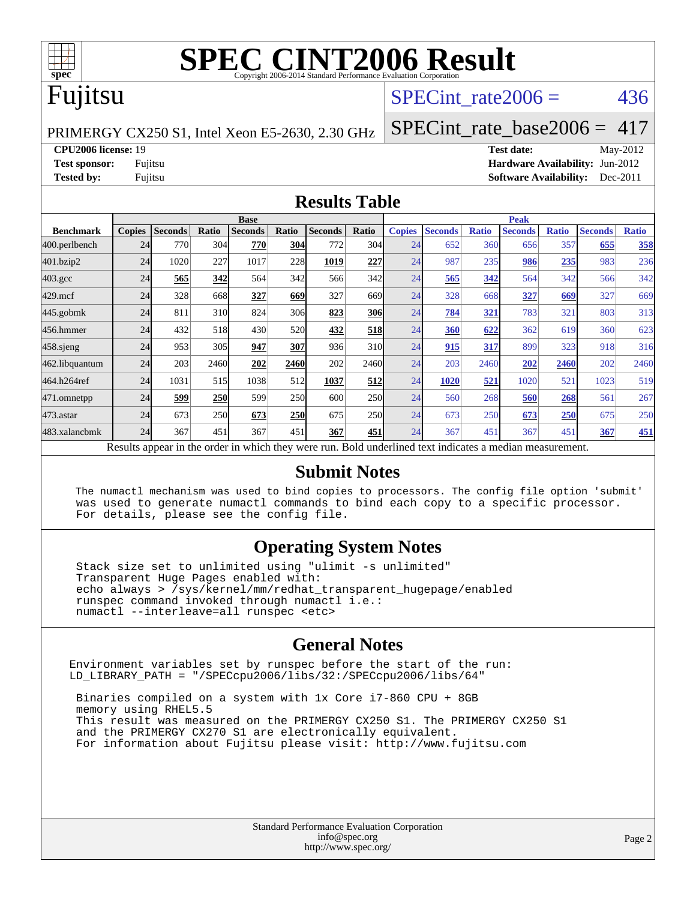

# **[SPEC CINT2006 Result](http://www.spec.org/auto/cpu2006/Docs/result-fields.html#SPECCINT2006Result)**

## Fujitsu

### SPECint rate $2006 = 436$

PRIMERGY CX250 S1, Intel Xeon E5-2630, 2.30 GHz

[SPECint\\_rate\\_base2006 =](http://www.spec.org/auto/cpu2006/Docs/result-fields.html#SPECintratebase2006) 417 **[CPU2006 license:](http://www.spec.org/auto/cpu2006/Docs/result-fields.html#CPU2006license)** 19 **[Test date:](http://www.spec.org/auto/cpu2006/Docs/result-fields.html#Testdate)** May-2012

**[Test sponsor:](http://www.spec.org/auto/cpu2006/Docs/result-fields.html#Testsponsor)** Fujitsu **[Hardware Availability:](http://www.spec.org/auto/cpu2006/Docs/result-fields.html#HardwareAvailability)** Jun-2012 **[Tested by:](http://www.spec.org/auto/cpu2006/Docs/result-fields.html#Testedby)** Fujitsu **[Software Availability:](http://www.spec.org/auto/cpu2006/Docs/result-fields.html#SoftwareAvailability)** Dec-2011

#### **[Results Table](http://www.spec.org/auto/cpu2006/Docs/result-fields.html#ResultsTable)**

|                                                                                                          | <b>Base</b>   |                |            |                |            |                |            | <b>Peak</b>   |                |              |                |              |                |              |
|----------------------------------------------------------------------------------------------------------|---------------|----------------|------------|----------------|------------|----------------|------------|---------------|----------------|--------------|----------------|--------------|----------------|--------------|
| <b>Benchmark</b>                                                                                         | <b>Copies</b> | <b>Seconds</b> | Ratio      | <b>Seconds</b> | Ratio      | <b>Seconds</b> | Ratio      | <b>Copies</b> | <b>Seconds</b> | <b>Ratio</b> | <b>Seconds</b> | <b>Ratio</b> | <b>Seconds</b> | <b>Ratio</b> |
| 400.perlbench                                                                                            | 24            | 770            | 304        | 770            | 304        | 772            | 304        | 24            | 652            | 360          | 656            | 357          | 655            | 358          |
| 401.bzip2                                                                                                | 24            | 1020           | 227        | 1017           | 228        | 1019           | 227        | 24            | 987            | 235          | 986            | 235          | 983            | 236          |
| $403.\mathrm{gcc}$                                                                                       | 24            | 565            | 342        | 564            | 342        | 566            | 342        | 24            | 565            | 342          | 564            | 342          | 566            | 342          |
| $429$ .mcf                                                                                               | 24            | 328            | 668        | 327            | 669        | 327            | 669        | 24            | 328            | 668          | 327            | 669          | 327            | 669          |
| $445$ .gobmk                                                                                             | 24            | 811            | 310        | 824            | 306        | 823            | <b>306</b> | 24            | 784            | 321          | 783            | 321          | 803            | 313          |
| 456.hmmer                                                                                                | 24            | 432            | 518        | 430            | <b>520</b> | 432            | 518        | 24            | <b>360</b>     | 622          | 362            | 619          | 360            | 623          |
| $458$ .sjeng                                                                                             | 24            | 953            | 305        | 947            | 307        | 936            | 310        | 24            | 915            | 317          | 899            | 323          | 918            | 316          |
| 462.libquantum                                                                                           | 24            | 203            | 2460       | 202            | 2460       | 202            | 2460l      | 24            | 203            | 2460         | 202            | 2460         | 202            | 2460         |
| 464.h264ref                                                                                              | 24            | 1031           | 515        | 1038           | 512        | 1037           | 512        | 24            | 1020           | 521          | 1020           | 521          | 1023           | 519          |
| 471.omnetpp                                                                                              | 24            | 599            | <b>250</b> | 599            | 250        | 600            | <b>250</b> | 24            | 560            | 268          | 560            | 268          | 561            | 267          |
| $473$ . astar                                                                                            | 24            | 673            | 250        | 673            | <b>250</b> | 675            | <b>250</b> | 24            | 673            | 250          | 673            | 250          | 675            | 250          |
| 483.xalancbmk                                                                                            | 24            | 367            | 451        | 367            | 451        | 367            | 451        | 24            | 367            | 451          | 367            | 451          | 367            | <b>451</b>   |
| Results appear in the order in which they were run. Bold underlined text indicates a median measurement. |               |                |            |                |            |                |            |               |                |              |                |              |                |              |

#### **[Submit Notes](http://www.spec.org/auto/cpu2006/Docs/result-fields.html#SubmitNotes)**

 The numactl mechanism was used to bind copies to processors. The config file option 'submit' was used to generate numactl commands to bind each copy to a specific processor. For details, please see the config file.

#### **[Operating System Notes](http://www.spec.org/auto/cpu2006/Docs/result-fields.html#OperatingSystemNotes)**

 Stack size set to unlimited using "ulimit -s unlimited" Transparent Huge Pages enabled with: echo always > /sys/kernel/mm/redhat\_transparent\_hugepage/enabled runspec command invoked through numactl i.e.: numactl --interleave=all runspec <etc>

#### **[General Notes](http://www.spec.org/auto/cpu2006/Docs/result-fields.html#GeneralNotes)**

Environment variables set by runspec before the start of the run: LD\_LIBRARY\_PATH = "/SPECcpu2006/libs/32:/SPECcpu2006/libs/64"

 Binaries compiled on a system with 1x Core i7-860 CPU + 8GB memory using RHEL5.5 This result was measured on the PRIMERGY CX250 S1. The PRIMERGY CX250 S1 and the PRIMERGY CX270 S1 are electronically equivalent. For information about Fujitsu please visit: <http://www.fujitsu.com>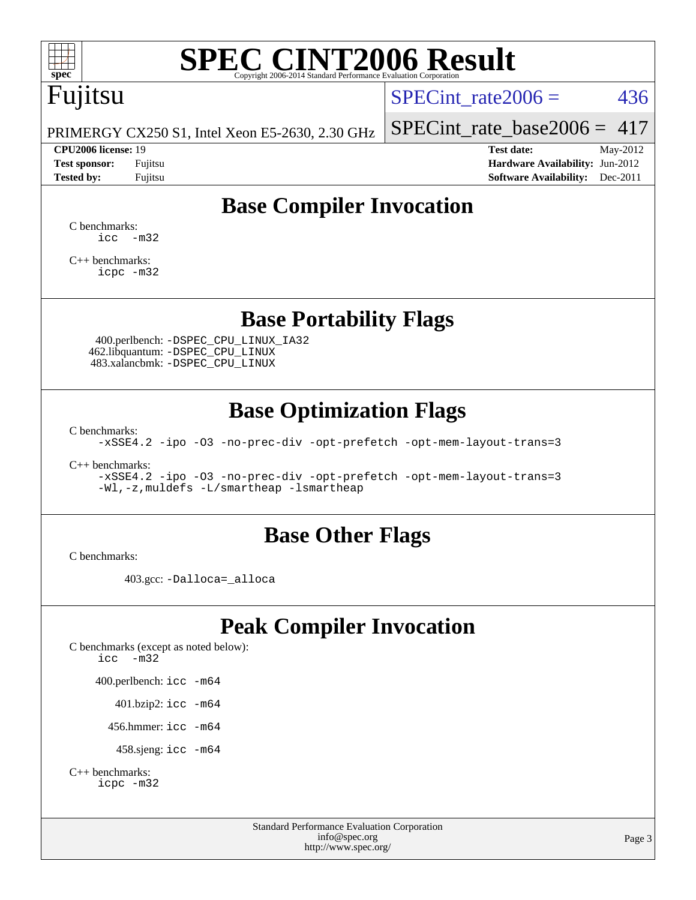

# **[SPEC CINT2006 Result](http://www.spec.org/auto/cpu2006/Docs/result-fields.html#SPECCINT2006Result)**

# Fujitsu

SPECint rate $2006 = 436$ 

PRIMERGY CX250 S1, Intel Xeon E5-2630, 2.30 GHz

#### **[CPU2006 license:](http://www.spec.org/auto/cpu2006/Docs/result-fields.html#CPU2006license)** 19 **[Test date:](http://www.spec.org/auto/cpu2006/Docs/result-fields.html#Testdate)** May-2012

[SPECint\\_rate\\_base2006 =](http://www.spec.org/auto/cpu2006/Docs/result-fields.html#SPECintratebase2006)  $417$ 

**[Test sponsor:](http://www.spec.org/auto/cpu2006/Docs/result-fields.html#Testsponsor)** Fujitsu **[Hardware Availability:](http://www.spec.org/auto/cpu2006/Docs/result-fields.html#HardwareAvailability)** Jun-2012 **[Tested by:](http://www.spec.org/auto/cpu2006/Docs/result-fields.html#Testedby)** Fujitsu **Fugital Example 2011 [Software Availability:](http://www.spec.org/auto/cpu2006/Docs/result-fields.html#SoftwareAvailability)** Dec-2011

## **[Base Compiler Invocation](http://www.spec.org/auto/cpu2006/Docs/result-fields.html#BaseCompilerInvocation)**

[C benchmarks](http://www.spec.org/auto/cpu2006/Docs/result-fields.html#Cbenchmarks):  $\text{icc}$   $-\text{m32}$ 

[C++ benchmarks:](http://www.spec.org/auto/cpu2006/Docs/result-fields.html#CXXbenchmarks) [icpc -m32](http://www.spec.org/cpu2006/results/res2012q3/cpu2006-20120605-22813.flags.html#user_CXXbase_intel_icpc_4e5a5ef1a53fd332b3c49e69c3330699)

### **[Base Portability Flags](http://www.spec.org/auto/cpu2006/Docs/result-fields.html#BasePortabilityFlags)**

 400.perlbench: [-DSPEC\\_CPU\\_LINUX\\_IA32](http://www.spec.org/cpu2006/results/res2012q3/cpu2006-20120605-22813.flags.html#b400.perlbench_baseCPORTABILITY_DSPEC_CPU_LINUX_IA32) 462.libquantum: [-DSPEC\\_CPU\\_LINUX](http://www.spec.org/cpu2006/results/res2012q3/cpu2006-20120605-22813.flags.html#b462.libquantum_baseCPORTABILITY_DSPEC_CPU_LINUX) 483.xalancbmk: [-DSPEC\\_CPU\\_LINUX](http://www.spec.org/cpu2006/results/res2012q3/cpu2006-20120605-22813.flags.html#b483.xalancbmk_baseCXXPORTABILITY_DSPEC_CPU_LINUX)

## **[Base Optimization Flags](http://www.spec.org/auto/cpu2006/Docs/result-fields.html#BaseOptimizationFlags)**

[C benchmarks](http://www.spec.org/auto/cpu2006/Docs/result-fields.html#Cbenchmarks):

[-xSSE4.2](http://www.spec.org/cpu2006/results/res2012q3/cpu2006-20120605-22813.flags.html#user_CCbase_f-xSSE42_f91528193cf0b216347adb8b939d4107) [-ipo](http://www.spec.org/cpu2006/results/res2012q3/cpu2006-20120605-22813.flags.html#user_CCbase_f-ipo) [-O3](http://www.spec.org/cpu2006/results/res2012q3/cpu2006-20120605-22813.flags.html#user_CCbase_f-O3) [-no-prec-div](http://www.spec.org/cpu2006/results/res2012q3/cpu2006-20120605-22813.flags.html#user_CCbase_f-no-prec-div) [-opt-prefetch](http://www.spec.org/cpu2006/results/res2012q3/cpu2006-20120605-22813.flags.html#user_CCbase_f-opt-prefetch) [-opt-mem-layout-trans=3](http://www.spec.org/cpu2006/results/res2012q3/cpu2006-20120605-22813.flags.html#user_CCbase_f-opt-mem-layout-trans_a7b82ad4bd7abf52556d4961a2ae94d5)

[C++ benchmarks:](http://www.spec.org/auto/cpu2006/Docs/result-fields.html#CXXbenchmarks)

[-xSSE4.2](http://www.spec.org/cpu2006/results/res2012q3/cpu2006-20120605-22813.flags.html#user_CXXbase_f-xSSE42_f91528193cf0b216347adb8b939d4107) [-ipo](http://www.spec.org/cpu2006/results/res2012q3/cpu2006-20120605-22813.flags.html#user_CXXbase_f-ipo) [-O3](http://www.spec.org/cpu2006/results/res2012q3/cpu2006-20120605-22813.flags.html#user_CXXbase_f-O3) [-no-prec-div](http://www.spec.org/cpu2006/results/res2012q3/cpu2006-20120605-22813.flags.html#user_CXXbase_f-no-prec-div) [-opt-prefetch](http://www.spec.org/cpu2006/results/res2012q3/cpu2006-20120605-22813.flags.html#user_CXXbase_f-opt-prefetch) [-opt-mem-layout-trans=3](http://www.spec.org/cpu2006/results/res2012q3/cpu2006-20120605-22813.flags.html#user_CXXbase_f-opt-mem-layout-trans_a7b82ad4bd7abf52556d4961a2ae94d5) [-Wl,-z,muldefs](http://www.spec.org/cpu2006/results/res2012q3/cpu2006-20120605-22813.flags.html#user_CXXbase_link_force_multiple1_74079c344b956b9658436fd1b6dd3a8a) [-L/smartheap -lsmartheap](http://www.spec.org/cpu2006/results/res2012q3/cpu2006-20120605-22813.flags.html#user_CXXbase_SmartHeap_7c9e394a5779e1a7fec7c221e123830c)

#### **[Base Other Flags](http://www.spec.org/auto/cpu2006/Docs/result-fields.html#BaseOtherFlags)**

[C benchmarks](http://www.spec.org/auto/cpu2006/Docs/result-fields.html#Cbenchmarks):

403.gcc: [-Dalloca=\\_alloca](http://www.spec.org/cpu2006/results/res2012q3/cpu2006-20120605-22813.flags.html#b403.gcc_baseEXTRA_CFLAGS_Dalloca_be3056838c12de2578596ca5467af7f3)

## **[Peak Compiler Invocation](http://www.spec.org/auto/cpu2006/Docs/result-fields.html#PeakCompilerInvocation)**

[C benchmarks \(except as noted below\)](http://www.spec.org/auto/cpu2006/Docs/result-fields.html#Cbenchmarksexceptasnotedbelow): [icc -m32](http://www.spec.org/cpu2006/results/res2012q3/cpu2006-20120605-22813.flags.html#user_CCpeak_intel_icc_5ff4a39e364c98233615fdd38438c6f2) 400.perlbench: [icc -m64](http://www.spec.org/cpu2006/results/res2012q3/cpu2006-20120605-22813.flags.html#user_peakCCLD400_perlbench_intel_icc_64bit_bda6cc9af1fdbb0edc3795bac97ada53) 401.bzip2: [icc -m64](http://www.spec.org/cpu2006/results/res2012q3/cpu2006-20120605-22813.flags.html#user_peakCCLD401_bzip2_intel_icc_64bit_bda6cc9af1fdbb0edc3795bac97ada53)

456.hmmer: [icc -m64](http://www.spec.org/cpu2006/results/res2012q3/cpu2006-20120605-22813.flags.html#user_peakCCLD456_hmmer_intel_icc_64bit_bda6cc9af1fdbb0edc3795bac97ada53)

458.sjeng: [icc -m64](http://www.spec.org/cpu2006/results/res2012q3/cpu2006-20120605-22813.flags.html#user_peakCCLD458_sjeng_intel_icc_64bit_bda6cc9af1fdbb0edc3795bac97ada53)

```
C++ benchmarks: 
icpc -m32
```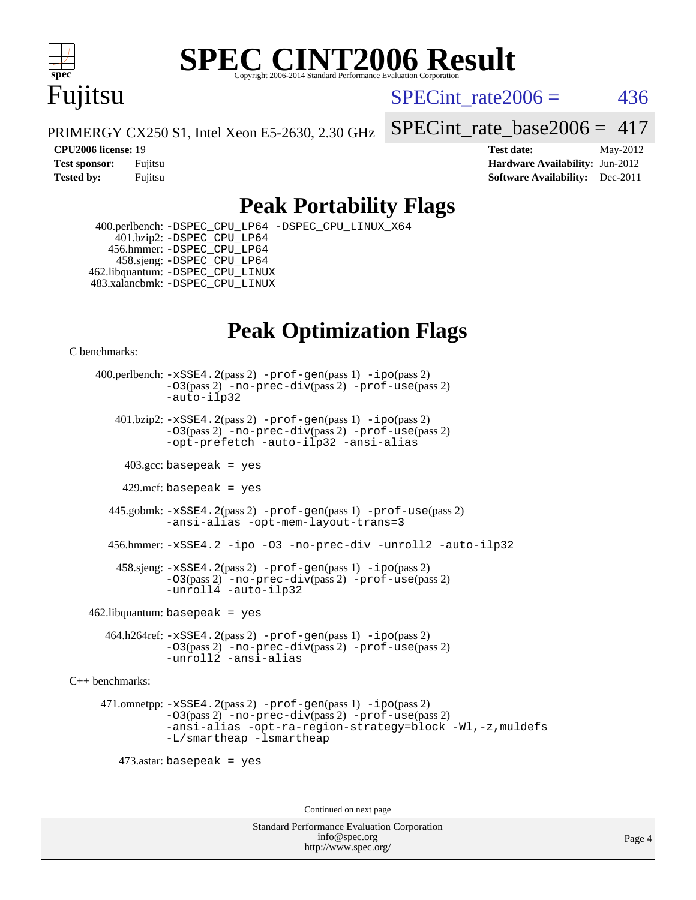

#### **[SPEC CINT2006 Result](http://www.spec.org/auto/cpu2006/Docs/result-fields.html#SPECCINT2006Result)** Copyright 2006-2014 Standard Performance Evaluation C

# Fujitsu

SPECint rate $2006 = 436$ 

PRIMERGY CX250 S1, Intel Xeon E5-2630, 2.30 GHz

SPECint rate base2006 =  $417$ 

**[CPU2006 license:](http://www.spec.org/auto/cpu2006/Docs/result-fields.html#CPU2006license)** 19 **[Test date:](http://www.spec.org/auto/cpu2006/Docs/result-fields.html#Testdate)** May-2012 **[Test sponsor:](http://www.spec.org/auto/cpu2006/Docs/result-fields.html#Testsponsor)** Fujitsu **[Hardware Availability:](http://www.spec.org/auto/cpu2006/Docs/result-fields.html#HardwareAvailability)** Jun-2012 **[Tested by:](http://www.spec.org/auto/cpu2006/Docs/result-fields.html#Testedby)** Fujitsu **Fugital Example 2011 [Software Availability:](http://www.spec.org/auto/cpu2006/Docs/result-fields.html#SoftwareAvailability)** Dec-2011

## **[Peak Portability Flags](http://www.spec.org/auto/cpu2006/Docs/result-fields.html#PeakPortabilityFlags)**

 400.perlbench: [-DSPEC\\_CPU\\_LP64](http://www.spec.org/cpu2006/results/res2012q3/cpu2006-20120605-22813.flags.html#b400.perlbench_peakCPORTABILITY_DSPEC_CPU_LP64) [-DSPEC\\_CPU\\_LINUX\\_X64](http://www.spec.org/cpu2006/results/res2012q3/cpu2006-20120605-22813.flags.html#b400.perlbench_peakCPORTABILITY_DSPEC_CPU_LINUX_X64) 401.bzip2: [-DSPEC\\_CPU\\_LP64](http://www.spec.org/cpu2006/results/res2012q3/cpu2006-20120605-22813.flags.html#suite_peakCPORTABILITY401_bzip2_DSPEC_CPU_LP64) 456.hmmer: [-DSPEC\\_CPU\\_LP64](http://www.spec.org/cpu2006/results/res2012q3/cpu2006-20120605-22813.flags.html#suite_peakCPORTABILITY456_hmmer_DSPEC_CPU_LP64) 458.sjeng: [-DSPEC\\_CPU\\_LP64](http://www.spec.org/cpu2006/results/res2012q3/cpu2006-20120605-22813.flags.html#suite_peakCPORTABILITY458_sjeng_DSPEC_CPU_LP64) 462.libquantum: [-DSPEC\\_CPU\\_LINUX](http://www.spec.org/cpu2006/results/res2012q3/cpu2006-20120605-22813.flags.html#b462.libquantum_peakCPORTABILITY_DSPEC_CPU_LINUX) 483.xalancbmk: [-DSPEC\\_CPU\\_LINUX](http://www.spec.org/cpu2006/results/res2012q3/cpu2006-20120605-22813.flags.html#b483.xalancbmk_peakCXXPORTABILITY_DSPEC_CPU_LINUX)

## **[Peak Optimization Flags](http://www.spec.org/auto/cpu2006/Docs/result-fields.html#PeakOptimizationFlags)**

[C benchmarks](http://www.spec.org/auto/cpu2006/Docs/result-fields.html#Cbenchmarks):

 400.perlbench: [-xSSE4.2](http://www.spec.org/cpu2006/results/res2012q3/cpu2006-20120605-22813.flags.html#user_peakPASS2_CFLAGSPASS2_LDCFLAGS400_perlbench_f-xSSE42_f91528193cf0b216347adb8b939d4107)(pass 2) [-prof-gen](http://www.spec.org/cpu2006/results/res2012q3/cpu2006-20120605-22813.flags.html#user_peakPASS1_CFLAGSPASS1_LDCFLAGS400_perlbench_prof_gen_e43856698f6ca7b7e442dfd80e94a8fc)(pass 1) [-ipo](http://www.spec.org/cpu2006/results/res2012q3/cpu2006-20120605-22813.flags.html#user_peakPASS2_CFLAGSPASS2_LDCFLAGS400_perlbench_f-ipo)(pass 2) [-O3](http://www.spec.org/cpu2006/results/res2012q3/cpu2006-20120605-22813.flags.html#user_peakPASS2_CFLAGSPASS2_LDCFLAGS400_perlbench_f-O3)(pass 2) [-no-prec-div](http://www.spec.org/cpu2006/results/res2012q3/cpu2006-20120605-22813.flags.html#user_peakPASS2_CFLAGSPASS2_LDCFLAGS400_perlbench_f-no-prec-div)(pass 2) [-prof-use](http://www.spec.org/cpu2006/results/res2012q3/cpu2006-20120605-22813.flags.html#user_peakPASS2_CFLAGSPASS2_LDCFLAGS400_perlbench_prof_use_bccf7792157ff70d64e32fe3e1250b55)(pass 2) [-auto-ilp32](http://www.spec.org/cpu2006/results/res2012q3/cpu2006-20120605-22813.flags.html#user_peakCOPTIMIZE400_perlbench_f-auto-ilp32)  $401.bzip2: -xSSE4.2(pass 2) -prof-qen(pass 1) -ipo(pass 2)$  $401.bzip2: -xSSE4.2(pass 2) -prof-qen(pass 1) -ipo(pass 2)$  $401.bzip2: -xSSE4.2(pass 2) -prof-qen(pass 1) -ipo(pass 2)$  $401.bzip2: -xSSE4.2(pass 2) -prof-qen(pass 1) -ipo(pass 2)$  $401.bzip2: -xSSE4.2(pass 2) -prof-qen(pass 1) -ipo(pass 2)$ [-O3](http://www.spec.org/cpu2006/results/res2012q3/cpu2006-20120605-22813.flags.html#user_peakPASS2_CFLAGSPASS2_LDCFLAGS401_bzip2_f-O3)(pass 2) [-no-prec-div](http://www.spec.org/cpu2006/results/res2012q3/cpu2006-20120605-22813.flags.html#user_peakPASS2_CFLAGSPASS2_LDCFLAGS401_bzip2_f-no-prec-div)(pass 2) [-prof-use](http://www.spec.org/cpu2006/results/res2012q3/cpu2006-20120605-22813.flags.html#user_peakPASS2_CFLAGSPASS2_LDCFLAGS401_bzip2_prof_use_bccf7792157ff70d64e32fe3e1250b55)(pass 2) [-opt-prefetch](http://www.spec.org/cpu2006/results/res2012q3/cpu2006-20120605-22813.flags.html#user_peakCOPTIMIZE401_bzip2_f-opt-prefetch) [-auto-ilp32](http://www.spec.org/cpu2006/results/res2012q3/cpu2006-20120605-22813.flags.html#user_peakCOPTIMIZE401_bzip2_f-auto-ilp32) [-ansi-alias](http://www.spec.org/cpu2006/results/res2012q3/cpu2006-20120605-22813.flags.html#user_peakCOPTIMIZE401_bzip2_f-ansi-alias)  $403.\text{sec: basepeak}$  = yes 429.mcf: basepeak = yes 445.gobmk: [-xSSE4.2](http://www.spec.org/cpu2006/results/res2012q3/cpu2006-20120605-22813.flags.html#user_peakPASS2_CFLAGSPASS2_LDCFLAGS445_gobmk_f-xSSE42_f91528193cf0b216347adb8b939d4107)(pass 2) [-prof-gen](http://www.spec.org/cpu2006/results/res2012q3/cpu2006-20120605-22813.flags.html#user_peakPASS1_CFLAGSPASS1_LDCFLAGS445_gobmk_prof_gen_e43856698f6ca7b7e442dfd80e94a8fc)(pass 1) [-prof-use](http://www.spec.org/cpu2006/results/res2012q3/cpu2006-20120605-22813.flags.html#user_peakPASS2_CFLAGSPASS2_LDCFLAGS445_gobmk_prof_use_bccf7792157ff70d64e32fe3e1250b55)(pass 2) [-ansi-alias](http://www.spec.org/cpu2006/results/res2012q3/cpu2006-20120605-22813.flags.html#user_peakCOPTIMIZE445_gobmk_f-ansi-alias) [-opt-mem-layout-trans=3](http://www.spec.org/cpu2006/results/res2012q3/cpu2006-20120605-22813.flags.html#user_peakCOPTIMIZE445_gobmk_f-opt-mem-layout-trans_a7b82ad4bd7abf52556d4961a2ae94d5) 456.hmmer: [-xSSE4.2](http://www.spec.org/cpu2006/results/res2012q3/cpu2006-20120605-22813.flags.html#user_peakCOPTIMIZE456_hmmer_f-xSSE42_f91528193cf0b216347adb8b939d4107) [-ipo](http://www.spec.org/cpu2006/results/res2012q3/cpu2006-20120605-22813.flags.html#user_peakCOPTIMIZE456_hmmer_f-ipo) [-O3](http://www.spec.org/cpu2006/results/res2012q3/cpu2006-20120605-22813.flags.html#user_peakCOPTIMIZE456_hmmer_f-O3) [-no-prec-div](http://www.spec.org/cpu2006/results/res2012q3/cpu2006-20120605-22813.flags.html#user_peakCOPTIMIZE456_hmmer_f-no-prec-div) [-unroll2](http://www.spec.org/cpu2006/results/res2012q3/cpu2006-20120605-22813.flags.html#user_peakCOPTIMIZE456_hmmer_f-unroll_784dae83bebfb236979b41d2422d7ec2) [-auto-ilp32](http://www.spec.org/cpu2006/results/res2012q3/cpu2006-20120605-22813.flags.html#user_peakCOPTIMIZE456_hmmer_f-auto-ilp32) 458.sjeng: [-xSSE4.2](http://www.spec.org/cpu2006/results/res2012q3/cpu2006-20120605-22813.flags.html#user_peakPASS2_CFLAGSPASS2_LDCFLAGS458_sjeng_f-xSSE42_f91528193cf0b216347adb8b939d4107)(pass 2) [-prof-gen](http://www.spec.org/cpu2006/results/res2012q3/cpu2006-20120605-22813.flags.html#user_peakPASS1_CFLAGSPASS1_LDCFLAGS458_sjeng_prof_gen_e43856698f6ca7b7e442dfd80e94a8fc)(pass 1) [-ipo](http://www.spec.org/cpu2006/results/res2012q3/cpu2006-20120605-22813.flags.html#user_peakPASS2_CFLAGSPASS2_LDCFLAGS458_sjeng_f-ipo)(pass 2) [-O3](http://www.spec.org/cpu2006/results/res2012q3/cpu2006-20120605-22813.flags.html#user_peakPASS2_CFLAGSPASS2_LDCFLAGS458_sjeng_f-O3)(pass 2) [-no-prec-div](http://www.spec.org/cpu2006/results/res2012q3/cpu2006-20120605-22813.flags.html#user_peakPASS2_CFLAGSPASS2_LDCFLAGS458_sjeng_f-no-prec-div)(pass 2) [-prof-use](http://www.spec.org/cpu2006/results/res2012q3/cpu2006-20120605-22813.flags.html#user_peakPASS2_CFLAGSPASS2_LDCFLAGS458_sjeng_prof_use_bccf7792157ff70d64e32fe3e1250b55)(pass 2) [-unroll4](http://www.spec.org/cpu2006/results/res2012q3/cpu2006-20120605-22813.flags.html#user_peakCOPTIMIZE458_sjeng_f-unroll_4e5e4ed65b7fd20bdcd365bec371b81f) [-auto-ilp32](http://www.spec.org/cpu2006/results/res2012q3/cpu2006-20120605-22813.flags.html#user_peakCOPTIMIZE458_sjeng_f-auto-ilp32)  $462$ .libquantum: basepeak = yes 464.h264ref: [-xSSE4.2](http://www.spec.org/cpu2006/results/res2012q3/cpu2006-20120605-22813.flags.html#user_peakPASS2_CFLAGSPASS2_LDCFLAGS464_h264ref_f-xSSE42_f91528193cf0b216347adb8b939d4107)(pass 2) [-prof-gen](http://www.spec.org/cpu2006/results/res2012q3/cpu2006-20120605-22813.flags.html#user_peakPASS1_CFLAGSPASS1_LDCFLAGS464_h264ref_prof_gen_e43856698f6ca7b7e442dfd80e94a8fc)(pass 1) [-ipo](http://www.spec.org/cpu2006/results/res2012q3/cpu2006-20120605-22813.flags.html#user_peakPASS2_CFLAGSPASS2_LDCFLAGS464_h264ref_f-ipo)(pass 2) [-O3](http://www.spec.org/cpu2006/results/res2012q3/cpu2006-20120605-22813.flags.html#user_peakPASS2_CFLAGSPASS2_LDCFLAGS464_h264ref_f-O3)(pass 2) [-no-prec-div](http://www.spec.org/cpu2006/results/res2012q3/cpu2006-20120605-22813.flags.html#user_peakPASS2_CFLAGSPASS2_LDCFLAGS464_h264ref_f-no-prec-div)(pass 2) [-prof-use](http://www.spec.org/cpu2006/results/res2012q3/cpu2006-20120605-22813.flags.html#user_peakPASS2_CFLAGSPASS2_LDCFLAGS464_h264ref_prof_use_bccf7792157ff70d64e32fe3e1250b55)(pass 2) [-unroll2](http://www.spec.org/cpu2006/results/res2012q3/cpu2006-20120605-22813.flags.html#user_peakCOPTIMIZE464_h264ref_f-unroll_784dae83bebfb236979b41d2422d7ec2) [-ansi-alias](http://www.spec.org/cpu2006/results/res2012q3/cpu2006-20120605-22813.flags.html#user_peakCOPTIMIZE464_h264ref_f-ansi-alias)

[C++ benchmarks:](http://www.spec.org/auto/cpu2006/Docs/result-fields.html#CXXbenchmarks)

 471.omnetpp: [-xSSE4.2](http://www.spec.org/cpu2006/results/res2012q3/cpu2006-20120605-22813.flags.html#user_peakPASS2_CXXFLAGSPASS2_LDCXXFLAGS471_omnetpp_f-xSSE42_f91528193cf0b216347adb8b939d4107)(pass 2) [-prof-gen](http://www.spec.org/cpu2006/results/res2012q3/cpu2006-20120605-22813.flags.html#user_peakPASS1_CXXFLAGSPASS1_LDCXXFLAGS471_omnetpp_prof_gen_e43856698f6ca7b7e442dfd80e94a8fc)(pass 1) [-ipo](http://www.spec.org/cpu2006/results/res2012q3/cpu2006-20120605-22813.flags.html#user_peakPASS2_CXXFLAGSPASS2_LDCXXFLAGS471_omnetpp_f-ipo)(pass 2) [-O3](http://www.spec.org/cpu2006/results/res2012q3/cpu2006-20120605-22813.flags.html#user_peakPASS2_CXXFLAGSPASS2_LDCXXFLAGS471_omnetpp_f-O3)(pass 2) [-no-prec-div](http://www.spec.org/cpu2006/results/res2012q3/cpu2006-20120605-22813.flags.html#user_peakPASS2_CXXFLAGSPASS2_LDCXXFLAGS471_omnetpp_f-no-prec-div)(pass 2) [-prof-use](http://www.spec.org/cpu2006/results/res2012q3/cpu2006-20120605-22813.flags.html#user_peakPASS2_CXXFLAGSPASS2_LDCXXFLAGS471_omnetpp_prof_use_bccf7792157ff70d64e32fe3e1250b55)(pass 2) [-ansi-alias](http://www.spec.org/cpu2006/results/res2012q3/cpu2006-20120605-22813.flags.html#user_peakCXXOPTIMIZE471_omnetpp_f-ansi-alias) [-opt-ra-region-strategy=block](http://www.spec.org/cpu2006/results/res2012q3/cpu2006-20120605-22813.flags.html#user_peakCXXOPTIMIZE471_omnetpp_f-opt-ra-region-strategy_a0a37c372d03933b2a18d4af463c1f69) [-Wl,-z,muldefs](http://www.spec.org/cpu2006/results/res2012q3/cpu2006-20120605-22813.flags.html#user_peakEXTRA_LDFLAGS471_omnetpp_link_force_multiple1_74079c344b956b9658436fd1b6dd3a8a) [-L/smartheap -lsmartheap](http://www.spec.org/cpu2006/results/res2012q3/cpu2006-20120605-22813.flags.html#user_peakEXTRA_LIBS471_omnetpp_SmartHeap_7c9e394a5779e1a7fec7c221e123830c)

473.astar: basepeak = yes

Continued on next page

Standard Performance Evaluation Corporation [info@spec.org](mailto:info@spec.org) <http://www.spec.org/>